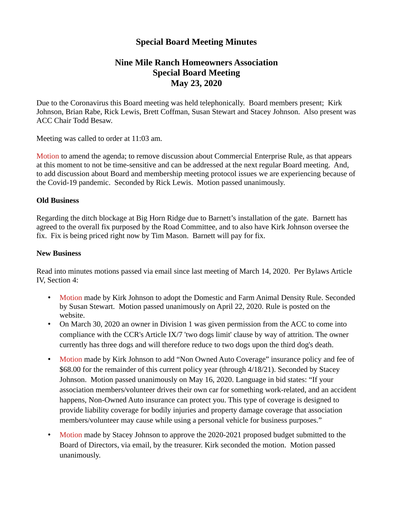# **Special Board Meeting Minutes**

## **Nine Mile Ranch Homeowners Association Special Board Meeting May 23, 2020**

Due to the Coronavirus this Board meeting was held telephonically. Board members present; Kirk Johnson, Brian Rabe, Rick Lewis, Brett Coffman, Susan Stewart and Stacey Johnson. Also present was ACC Chair Todd Besaw.

Meeting was called to order at 11:03 am.

Motion to amend the agenda; to remove discussion about Commercial Enterprise Rule, as that appears at this moment to not be time-sensitive and can be addressed at the next regular Board meeting. And, to add discussion about Board and membership meeting protocol issues we are experiencing because of the Covid-19 pandemic. Seconded by Rick Lewis. Motion passed unanimously.

### **Old Business**

Regarding the ditch blockage at Big Horn Ridge due to Barnett's installation of the gate. Barnett has agreed to the overall fix purposed by the Road Committee, and to also have Kirk Johnson oversee the fix. Fix is being priced right now by Tim Mason. Barnett will pay for fix.

### **New Business**

Read into minutes motions passed via email since last meeting of March 14, 2020. Per Bylaws Article IV, Section 4:

- Motion made by Kirk Johnson to adopt the Domestic and Farm Animal Density Rule. Seconded by Susan Stewart. Motion passed unanimously on April 22, 2020. Rule is posted on the website.
- On March 30, 2020 an owner in Division 1 was given permission from the ACC to come into compliance with the CCR's Article IX/7 'two dogs limit' clause by way of attrition. The owner currently has three dogs and will therefore reduce to two dogs upon the third dog's death.
- Motion made by Kirk Johnson to add "Non Owned Auto Coverage" insurance policy and fee of \$68.00 for the remainder of this current policy year (through 4/18/21). Seconded by Stacey Johnson. Motion passed unanimously on May 16, 2020. Language in bid states: "If your association members/volunteer drives their own car for something work-related, and an accident happens, Non-Owned Auto insurance can protect you. This type of coverage is designed to provide liability coverage for bodily injuries and property damage coverage that association members/volunteer may cause while using a personal vehicle for business purposes."
- Motion made by Stacey Johnson to approve the 2020-2021 proposed budget submitted to the Board of Directors, via email, by the treasurer. Kirk seconded the motion. Motion passed unanimously.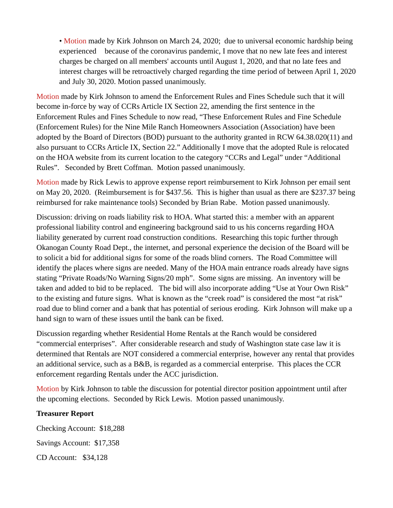• Motion made by Kirk Johnson on March 24, 2020; due to universal economic hardship being experienced because of the coronavirus pandemic, I move that no new late fees and interest charges be charged on all members' accounts until August 1, 2020, and that no late fees and interest charges will be retroactively charged regarding the time period of between April 1, 2020 and July 30, 2020. Motion passed unanimously.

Motion made by Kirk Johnson to amend the Enforcement Rules and Fines Schedule such that it will become in-force by way of CCRs Article IX Section 22, amending the first sentence in the Enforcement Rules and Fines Schedule to now read, "These Enforcement Rules and Fine Schedule (Enforcement Rules) for the Nine Mile Ranch Homeowners Association (Association) have been adopted by the Board of Directors (BOD) pursuant to the authority granted in RCW 64.38.020(11) and also pursuant to CCRs Article IX, Section 22." Additionally I move that the adopted Rule is relocated on the HOA website from its current location to the category "CCRs and Legal" under "Additional Rules". Seconded by Brett Coffman. Motion passed unanimously.

Motion made by Rick Lewis to approve expense report reimbursement to Kirk Johnson per email sent on May 20, 2020. (Reimbursement is for \$437.56. This is higher than usual as there are \$237.37 being reimbursed for rake maintenance tools) Seconded by Brian Rabe. Motion passed unanimously.

Discussion: driving on roads liability risk to HOA. What started this: a member with an apparent professional liability control and engineering background said to us his concerns regarding HOA liability generated by current road construction conditions. Researching this topic further through Okanogan County Road Dept., the internet, and personal experience the decision of the Board will be to solicit a bid for additional signs for some of the roads blind corners. The Road Committee will identify the places where signs are needed. Many of the HOA main entrance roads already have signs stating "Private Roads/No Warning Signs/20 mph". Some signs are missing. An inventory will be taken and added to bid to be replaced. The bid will also incorporate adding "Use at Your Own Risk" to the existing and future signs. What is known as the "creek road" is considered the most "at risk" road due to blind corner and a bank that has potential of serious eroding. Kirk Johnson will make up a hand sign to warn of these issues until the bank can be fixed.

Discussion regarding whether Residential Home Rentals at the Ranch would be considered "commercial enterprises". After considerable research and study of Washington state case law it is determined that Rentals are NOT considered a commercial enterprise, however any rental that provides an additional service, such as a B&B, is regarded as a commercial enterprise. This places the CCR enforcement regarding Rentals under the ACC jurisdiction.

Motion by Kirk Johnson to table the discussion for potential director position appointment until after the upcoming elections. Seconded by Rick Lewis. Motion passed unanimously.

#### **Treasurer Report**

Checking Account: \$18,288 Savings Account: \$17,358 CD Account: \$34,128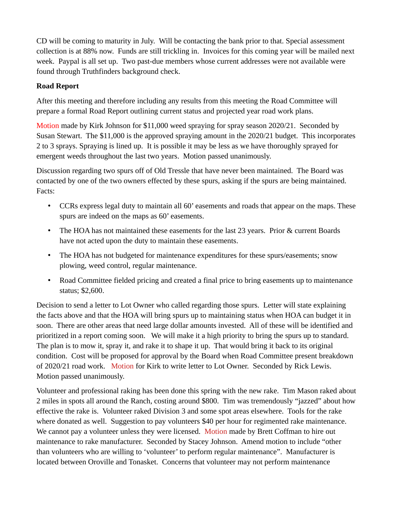CD will be coming to maturity in July. Will be contacting the bank prior to that. Special assessment collection is at 88% now. Funds are still trickling in. Invoices for this coming year will be mailed next week. Paypal is all set up. Two past-due members whose current addresses were not available were found through Truthfinders background check.

### **Road Report**

After this meeting and therefore including any results from this meeting the Road Committee will prepare a formal Road Report outlining current status and projected year road work plans.

Motion made by Kirk Johnson for \$11,000 weed spraying for spray season 2020/21. Seconded by Susan Stewart. The \$11,000 is the approved spraying amount in the 2020/21 budget. This incorporates 2 to 3 sprays. Spraying is lined up. It is possible it may be less as we have thoroughly sprayed for emergent weeds throughout the last two years. Motion passed unanimously.

Discussion regarding two spurs off of Old Tressle that have never been maintained. The Board was contacted by one of the two owners effected by these spurs, asking if the spurs are being maintained. Facts:

- CCRs express legal duty to maintain all 60' easements and roads that appear on the maps. These spurs are indeed on the maps as 60' easements.
- The HOA has not maintained these easements for the last 23 years. Prior & current Boards have not acted upon the duty to maintain these easements.
- The HOA has not budgeted for maintenance expenditures for these spurs/easements; snow plowing, weed control, regular maintenance.
- Road Committee fielded pricing and created a final price to bring easements up to maintenance status; \$2,600.

Decision to send a letter to Lot Owner who called regarding those spurs. Letter will state explaining the facts above and that the HOA will bring spurs up to maintaining status when HOA can budget it in soon. There are other areas that need large dollar amounts invested. All of these will be identified and prioritized in a report coming soon. We will make it a high priority to bring the spurs up to standard. The plan is to mow it, spray it, and rake it to shape it up. That would bring it back to its original condition. Cost will be proposed for approval by the Board when Road Committee present breakdown of 2020/21 road work. Motion for Kirk to write letter to Lot Owner. Seconded by Rick Lewis. Motion passed unanimously.

Volunteer and professional raking has been done this spring with the new rake. Tim Mason raked about 2 miles in spots all around the Ranch, costing around \$800. Tim was tremendously "jazzed" about how effective the rake is. Volunteer raked Division 3 and some spot areas elsewhere. Tools for the rake where donated as well. Suggestion to pay volunteers \$40 per hour for regimented rake maintenance. We cannot pay a volunteer unless they were licensed. Motion made by Brett Coffman to hire out maintenance to rake manufacturer. Seconded by Stacey Johnson. Amend motion to include "other than volunteers who are willing to 'volunteer' to perform regular maintenance". Manufacturer is located between Oroville and Tonasket. Concerns that volunteer may not perform maintenance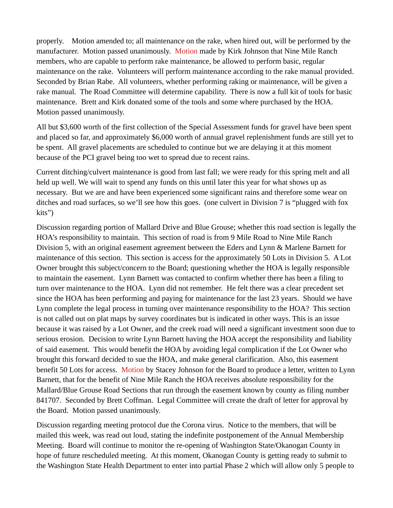properly. Motion amended to; all maintenance on the rake, when hired out, will be performed by the manufacturer. Motion passed unanimously. Motion made by Kirk Johnson that Nine Mile Ranch members, who are capable to perform rake maintenance, be allowed to perform basic, regular maintenance on the rake. Volunteers will perform maintenance according to the rake manual provided. Seconded by Brian Rabe. All volunteers, whether performing raking or maintenance, will be given a rake manual. The Road Committee will determine capability. There is now a full kit of tools for basic maintenance. Brett and Kirk donated some of the tools and some where purchased by the HOA. Motion passed unanimously.

All but \$3,600 worth of the first collection of the Special Assessment funds for gravel have been spent and placed so far, and approximately \$6,000 worth of annual gravel replenishment funds are still yet to be spent. All gravel placements are scheduled to continue but we are delaying it at this moment because of the PCI gravel being too wet to spread due to recent rains.

Current ditching/culvert maintenance is good from last fall; we were ready for this spring melt and all held up well. We will wait to spend any funds on this until later this year for what shows up as necessary. But we are and have been experienced some significant rains and therefore some wear on ditches and road surfaces, so we'll see how this goes. (one culvert in Division 7 is "plugged with fox kits")

Discussion regarding portion of Mallard Drive and Blue Grouse; whether this road section is legally the HOA's responsibility to maintain. This section of road is from 9 Mile Road to Nine Mile Ranch Division 5, with an original easement agreement between the Eders and Lynn & Marlene Barnett for maintenance of this section. This section is access for the approximately 50 Lots in Division 5. A Lot Owner brought this subject/concern to the Board; questioning whether the HOA is legally responsible to maintain the easement. Lynn Barnett was contacted to confirm whether there has been a filing to turn over maintenance to the HOA. Lynn did not remember. He felt there was a clear precedent set since the HOA has been performing and paying for maintenance for the last 23 years. Should we have Lynn complete the legal process in turning over maintenance responsibility to the HOA? This section is not called out on plat maps by survey coordinates but is indicated in other ways. This is an issue because it was raised by a Lot Owner, and the creek road will need a significant investment soon due to serious erosion. Decision to write Lynn Barnett having the HOA accept the responsibility and liability of said easement. This would benefit the HOA by avoiding legal complication if the Lot Owner who brought this forward decided to sue the HOA, and make general clarification. Also, this easement benefit 50 Lots for access. Motion by Stacey Johnson for the Board to produce a letter, written to Lynn Barnett, that for the benefit of Nine Mile Ranch the HOA receives absolute responsibility for the Mallard/Blue Grouse Road Sections that run through the easement known by county as filing number 841707. Seconded by Brett Coffman. Legal Committee will create the draft of letter for approval by the Board. Motion passed unanimously.

Discussion regarding meeting protocol due the Corona virus. Notice to the members, that will be mailed this week, was read out loud, stating the indefinite postponement of the Annual Membership Meeting. Board will continue to monitor the re-opening of Washington State/Okanogan County in hope of future rescheduled meeting. At this moment, Okanogan County is getting ready to submit to the Washington State Health Department to enter into partial Phase 2 which will allow only 5 people to